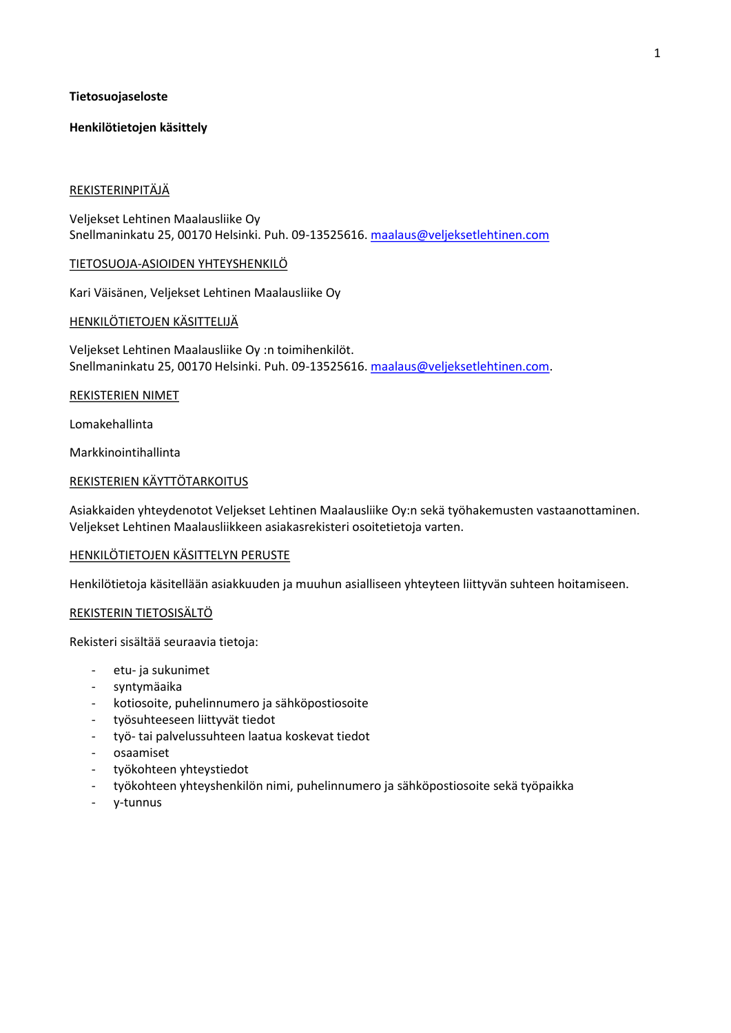# **Tietosuojaseloste**

# **Henkilötietojen käsittely**

## REKISTERINPITÄJÄ

Veljekset Lehtinen Maalausliike Oy Snellmaninkatu 25, 00170 Helsinki. Puh. 09-13525616. maalaus@veljeksetlehtinen.com

### TIETOSUOJA-ASIOIDEN YHTEYSHENKILÖ

Kari Väisänen, Veljekset Lehtinen Maalausliike Oy

# HENKILÖTIETOJEN KÄSITTELIJÄ

Veljekset Lehtinen Maalausliike Oy :n toimihenkilöt. Snellmaninkatu 25, 00170 Helsinki. Puh. 09-13525616. maalaus@veljeksetlehtinen.com.

#### REKISTERIEN NIMET

Lomakehallinta

Markkinointihallinta

# REKISTERIEN KÄYTTÖTARKOITUS

Asiakkaiden yhteydenotot Veljekset Lehtinen Maalausliike Oy:n sekä työhakemusten vastaanottaminen. Veljekset Lehtinen Maalausliikkeen asiakasrekisteri osoitetietoja varten.

### HENKILÖTIETOJEN KÄSITTELYN PERUSTE

Henkilötietoja käsitellään asiakkuuden ja muuhun asialliseen yhteyteen liittyvän suhteen hoitamiseen.

### REKISTERIN TIETOSISÄLTÖ

Rekisteri sisältää seuraavia tietoja:

- etu- ja sukunimet
- syntymäaika
- kotiosoite, puhelinnumero ja sähköpostiosoite
- työsuhteeseen liittyvät tiedot
- työ-tai palvelussuhteen laatua koskevat tiedot
- osaamiset
- työkohteen yhteystiedot
- työkohteen yhteyshenkilön nimi, puhelinnumero ja sähköpostiosoite sekä työpaikka
- v-tunnus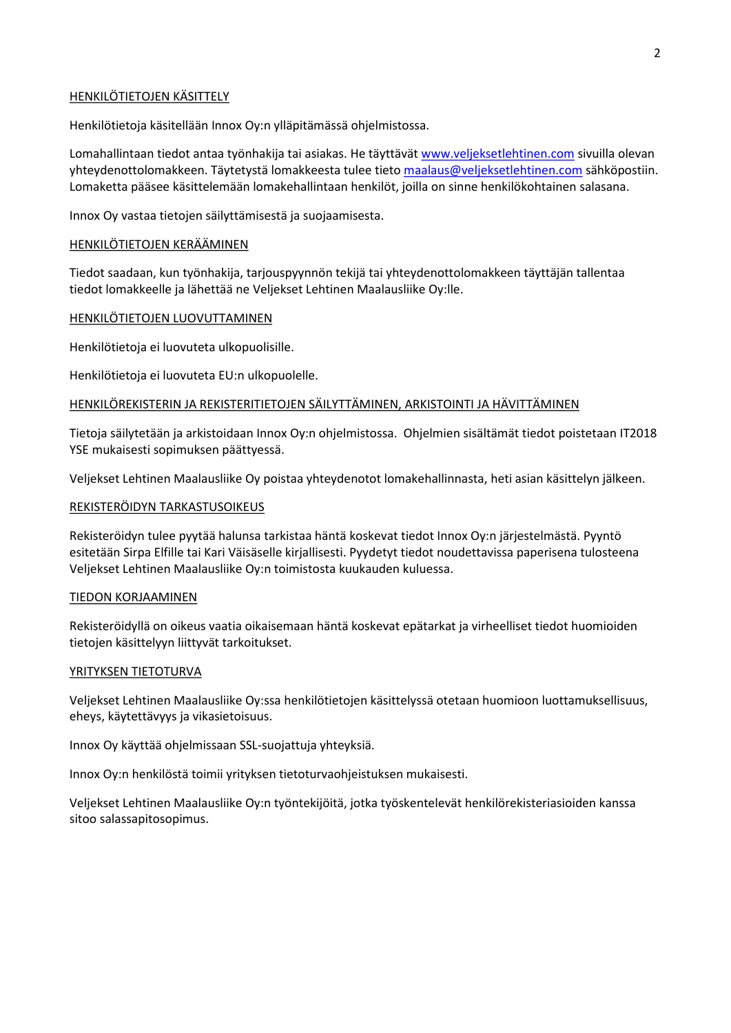# HENKILÖTIETOJEN KÄSITTELY

Henkilötietoja käsitellään Innox Oy:n ylläpitämässä ohjelmistossa.

Lomahallintaan tiedot antaa työnhakija tai asiakas. He täyttävät www.veljeksetlehtinen.com sivuilla olevan yhteydenottolomakkeen. Täytetystä lomakkeesta tulee tieto maalaus@veljeksetlehtinen.com sähköpostiin. Lomaketta pääsee käsittelemään lomakehallintaan henkilöt, joilla on sinne henkilökohtainen salasana.

Innox Oy vastaa tietojen säilyttämisestä ja suojaamisesta.

### HENKILÖTIETOJEN KERÄÄMINEN

Tiedot saadaan, kun työnhakija, tarjouspyynnön tekijä tai yhteydenottolomakkeen täyttäjän tallentaa tiedot lomakkeelle ja lähettää ne Veliekset Lehtinen Maalauslijke Ov:lle.

# HENKILÖTIETOJEN LUOVUTTAMINEN

Henkilötietoja ei luovuteta ulkopuolisille.

Henkilötietoja ei luovuteta EU:n ulkopuolelle.

### HENKILÖREKISTERIN JA REKISTERITIETOJEN SÄILYTTÄMINEN, ARKISTOINTI JA HÄVITTÄMINEN

Tietoja säilytetään ja arkistoidaan Innox Oy:n ohjelmistossa. Ohjelmien sisältämät tiedot poistetaan IT2018 YSE mukaisesti sopimuksen päättyessä.

Veljekset Lehtinen Maalausliike Oy poistaa yhteydenotot lomakehallinnasta, heti asian käsittelyn jälkeen.

# REKISTERÖIDYN TARKASTUSOIKEUS

Rekisteröidyn tulee pyytää halunsa tarkistaa häntä koskevat tiedot Innox Oy:n järjestelmästä. Pyyntö esitetään Sirpa Elfille tai Kari Väisäselle kirjallisesti. Pyydetyt tiedot noudettavissa paperisena tulosteena Veljekset Lehtinen Maalausliike Oy:n toimistosta kuukauden kuluessa.

#### TIEDON KORJAAMINEN

Rekisteröidvllä on oikeus vaatia oikaisemaan häntä koskevat epätarkat ja virheelliset tiedot huomioiden tietojen käsittelyyn liittyvät tarkoitukset.

### YRITYKSEN TIETOTURVA

Veljekset Lehtinen Maalausliike Oy:ssa henkilötietojen käsittelyssä otetaan huomioon luottamuksellisuus, eheys, käytettävyys ja vikasietoisuus.

Innox Oy käyttää ohjelmissaan SSL-suojattuja yhteyksiä.

Innox Oy:n henkilöstä toimii yrityksen tietoturvaohjeistuksen mukaisesti.

Veljekset Lehtinen Maalausliike Oy:n työntekijöitä, jotka työskentelevät henkilörekisteriasioiden kanssa sitoo salassapitosopimus.